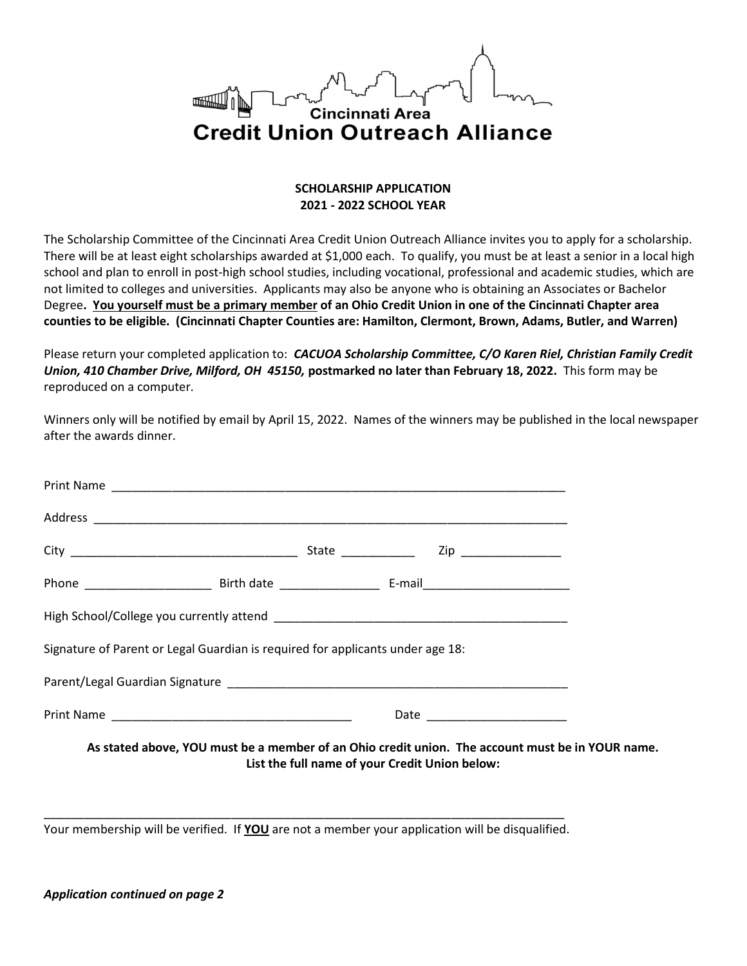

## SCHOLARSHIP APPLICATION 2021 - 2022 SCHOOL YEAR

The Scholarship Committee of the Cincinnati Area Credit Union Outreach Alliance invites you to apply for a scholarship. There will be at least eight scholarships awarded at \$1,000 each. To qualify, you must be at least a senior in a local high school and plan to enroll in post-high school studies, including vocational, professional and academic studies, which are not limited to colleges and universities. Applicants may also be anyone who is obtaining an Associates or Bachelor Degree. You yourself must be a primary member of an Ohio Credit Union in one of the Cincinnati Chapter area counties to be eligible. (Cincinnati Chapter Counties are: Hamilton, Clermont, Brown, Adams, Butler, and Warren)

Please return your completed application to: CACUOA Scholarship Committee, C/O Karen Riel, Christian Family Credit Union, 410 Chamber Drive, Milford, OH 45150, postmarked no later than February 18, 2022. This form may be reproduced on a computer.

Winners only will be notified by email by April 15, 2022. Names of the winners may be published in the local newspaper after the awards dinner.

|  | State _______________ Zip ________________<br>Signature of Parent or Legal Guardian is required for applicants under age 18: |
|--|------------------------------------------------------------------------------------------------------------------------------|

As stated above, YOU must be a member of an Ohio credit union. The account must be in YOUR name. List the full name of your Credit Union below:

\_\_\_\_\_\_\_\_\_\_\_\_\_\_\_\_\_\_\_\_\_\_\_\_\_\_\_\_\_\_\_\_\_\_\_\_\_\_\_\_\_\_\_\_\_\_\_\_\_\_\_\_\_\_\_\_\_\_\_\_\_\_\_\_\_\_\_\_\_\_\_\_\_\_\_\_\_\_ Your membership will be verified. If **YOU** are not a member your application will be disqualified.